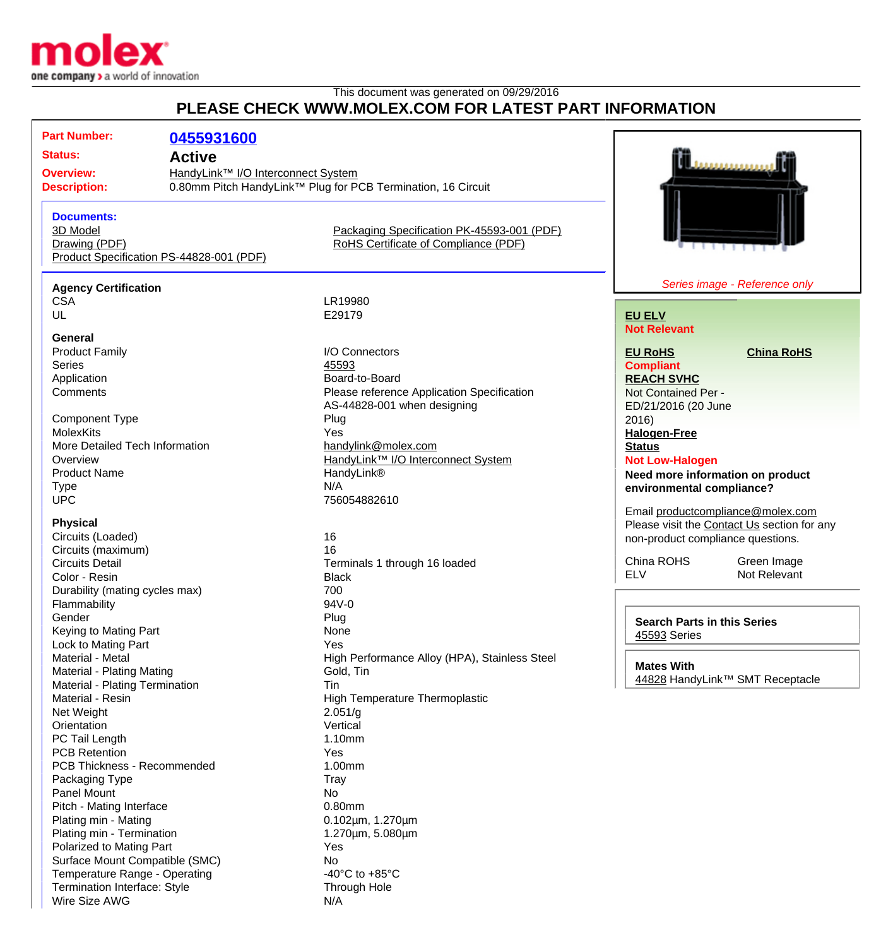

## This document was generated on 09/29/2016 **PLEASE CHECK WWW.MOLEX.COM FOR LATEST PART INFORMATION**

| PLEASE CHECK WWW.MOLEX.COM FOR LATEST PART INFORMATION |                                          |                                                              |                                                            |                                   |  |
|--------------------------------------------------------|------------------------------------------|--------------------------------------------------------------|------------------------------------------------------------|-----------------------------------|--|
| <b>Part Number:</b>                                    | 0455931600                               |                                                              |                                                            |                                   |  |
| <b>Status:</b>                                         | <b>Active</b>                            |                                                              |                                                            |                                   |  |
| <b>Overview:</b>                                       | HandyLink™ I/O Interconnect System       |                                                              |                                                            |                                   |  |
| <b>Description:</b>                                    |                                          | 0.80mm Pitch HandyLink™ Plug for PCB Termination, 16 Circuit |                                                            |                                   |  |
|                                                        |                                          |                                                              |                                                            |                                   |  |
| <b>Documents:</b>                                      |                                          |                                                              |                                                            |                                   |  |
| 3D Model                                               |                                          | Packaging Specification PK-45593-001 (PDF)                   |                                                            |                                   |  |
| Drawing (PDF)                                          |                                          | RoHS Certificate of Compliance (PDF)                         |                                                            |                                   |  |
|                                                        | Product Specification PS-44828-001 (PDF) |                                                              |                                                            |                                   |  |
|                                                        |                                          |                                                              |                                                            |                                   |  |
| <b>Agency Certification</b>                            |                                          |                                                              |                                                            | Series image - Reference only     |  |
| <b>CSA</b><br>UL                                       |                                          | LR19980<br>E29179                                            |                                                            |                                   |  |
|                                                        |                                          |                                                              | <b>EU ELV</b><br><b>Not Relevant</b>                       |                                   |  |
| General                                                |                                          |                                                              |                                                            |                                   |  |
| <b>Product Family</b>                                  |                                          | I/O Connectors                                               | <b>EU RoHS</b>                                             | <b>China RoHS</b>                 |  |
| <b>Series</b>                                          |                                          | 45593                                                        | <b>Compliant</b>                                           |                                   |  |
| Application                                            |                                          | Board-to-Board                                               | <b>REACH SVHC</b>                                          |                                   |  |
| Comments                                               |                                          | Please reference Application Specification                   | Not Contained Per -                                        |                                   |  |
|                                                        |                                          | AS-44828-001 when designing                                  | ED/21/2016 (20 June                                        |                                   |  |
| <b>Component Type</b>                                  |                                          | Plug                                                         | 2016)                                                      |                                   |  |
| <b>MolexKits</b>                                       |                                          | Yes<br>handylink@molex.com                                   | <b>Halogen-Free</b>                                        |                                   |  |
| More Detailed Tech Information<br>Overview             |                                          | HandyLink™ I/O Interconnect System                           | <b>Status</b>                                              |                                   |  |
| <b>Product Name</b>                                    |                                          | HandyLink®                                                   | <b>Not Low-Halogen</b><br>Need more information on product |                                   |  |
| <b>Type</b>                                            |                                          | N/A                                                          | environmental compliance?                                  |                                   |  |
| <b>UPC</b>                                             |                                          | 756054882610                                                 |                                                            |                                   |  |
|                                                        |                                          |                                                              |                                                            | Email productcompliance@molex.com |  |
| <b>Physical</b>                                        |                                          |                                                              | Please visit the Contact Us section for any                |                                   |  |
| Circuits (Loaded)                                      |                                          | 16                                                           | non-product compliance questions.                          |                                   |  |
| Circuits (maximum)<br><b>Circuits Detail</b>           |                                          | 16                                                           | China ROHS                                                 | Green Image                       |  |
| Color - Resin                                          |                                          | Terminals 1 through 16 loaded<br><b>Black</b>                | <b>ELV</b>                                                 | Not Relevant                      |  |
| Durability (mating cycles max)                         |                                          | 700                                                          |                                                            |                                   |  |
| Flammability                                           |                                          | 94V-0                                                        |                                                            |                                   |  |
| Gender                                                 |                                          | Plug                                                         |                                                            |                                   |  |
| Keying to Mating Part                                  |                                          | None                                                         | <b>Search Parts in this Series</b><br>45593 Series         |                                   |  |
| Lock to Mating Part                                    |                                          | Yes                                                          |                                                            |                                   |  |
| Material - Metal                                       |                                          | High Performance Alloy (HPA), Stainless Steel                | <b>Mates With</b>                                          |                                   |  |
| Material - Plating Mating                              |                                          | Gold, Tin                                                    |                                                            | 44828 HandyLink™ SMT Receptacle   |  |
| Material - Plating Termination                         |                                          | Tin                                                          |                                                            |                                   |  |
| Material - Resin                                       |                                          | High Temperature Thermoplastic                               |                                                            |                                   |  |
| Net Weight                                             |                                          | 2.051/g                                                      |                                                            |                                   |  |
| Orientation<br>PC Tail Length                          |                                          | Vertical<br>1.10mm                                           |                                                            |                                   |  |
| <b>PCB Retention</b>                                   |                                          | Yes                                                          |                                                            |                                   |  |
| PCB Thickness - Recommended                            |                                          | 1.00mm                                                       |                                                            |                                   |  |
| Packaging Type                                         |                                          | Tray                                                         |                                                            |                                   |  |
| Panel Mount                                            |                                          | No                                                           |                                                            |                                   |  |
| Pitch - Mating Interface                               |                                          | 0.80mm                                                       |                                                            |                                   |  |
| Plating min - Mating                                   |                                          | 0.102µm, 1.270µm                                             |                                                            |                                   |  |
| Plating min - Termination                              |                                          | 1.270um, 5.080um                                             |                                                            |                                   |  |
| Polarized to Mating Part                               |                                          | Yes                                                          |                                                            |                                   |  |
| Surface Mount Compatible (SMC)                         |                                          | <b>No</b>                                                    |                                                            |                                   |  |
| Temperature Range - Operating                          |                                          | -40 $^{\circ}$ C to +85 $^{\circ}$ C                         |                                                            |                                   |  |
| Termination Interface: Style                           |                                          | Through Hole                                                 |                                                            |                                   |  |
| Wire Size AWG                                          |                                          | N/A                                                          |                                                            |                                   |  |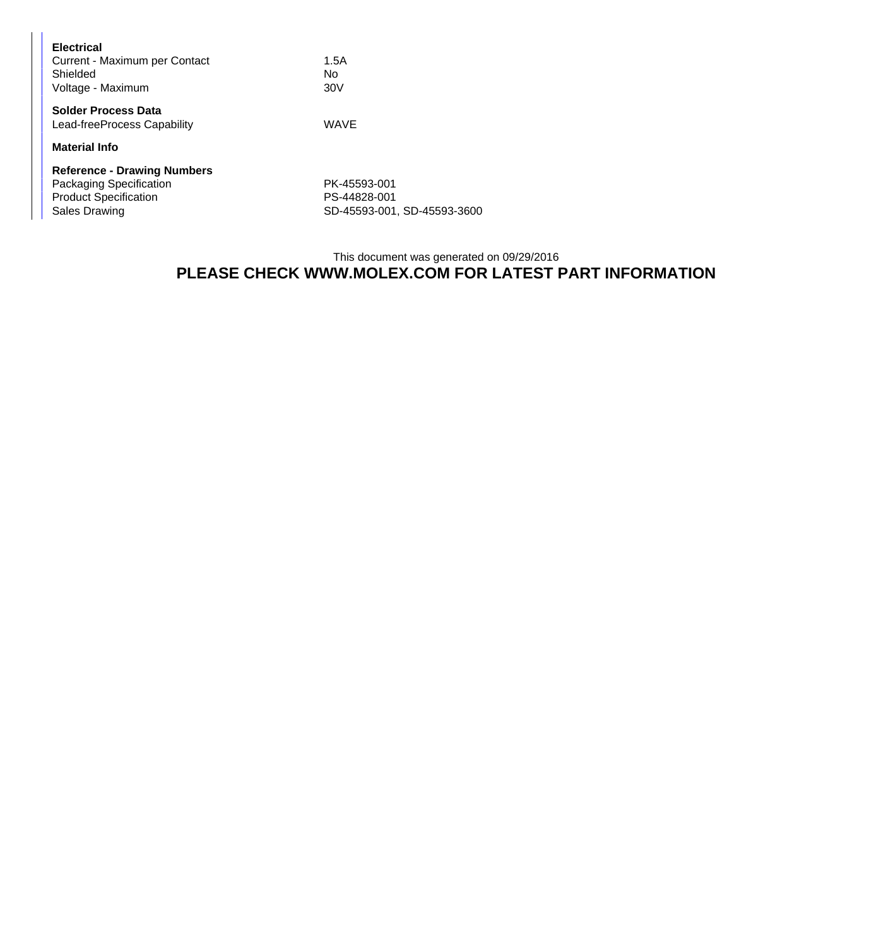| <b>Electrical</b><br>Current - Maximum per Contact<br>Shielded<br>Voltage - Maximum                            | 1.5A<br>N٥<br>30V                            |  |
|----------------------------------------------------------------------------------------------------------------|----------------------------------------------|--|
| Solder Process Data<br>Lead-freeProcess Capability                                                             | <b>WAVE</b>                                  |  |
| <b>Material Info</b>                                                                                           |                                              |  |
| <b>Reference - Drawing Numbers</b><br>Packaging Specification<br><b>Product Specification</b><br>Sales Drawing | PK-45593-001<br>PS-44828-001<br>SD-45593-001 |  |

SD-45593-001, SD-45593-3600

## This document was generated on 09/29/2016 **PLEASE CHECK WWW.MOLEX.COM FOR LATEST PART INFORMATION**